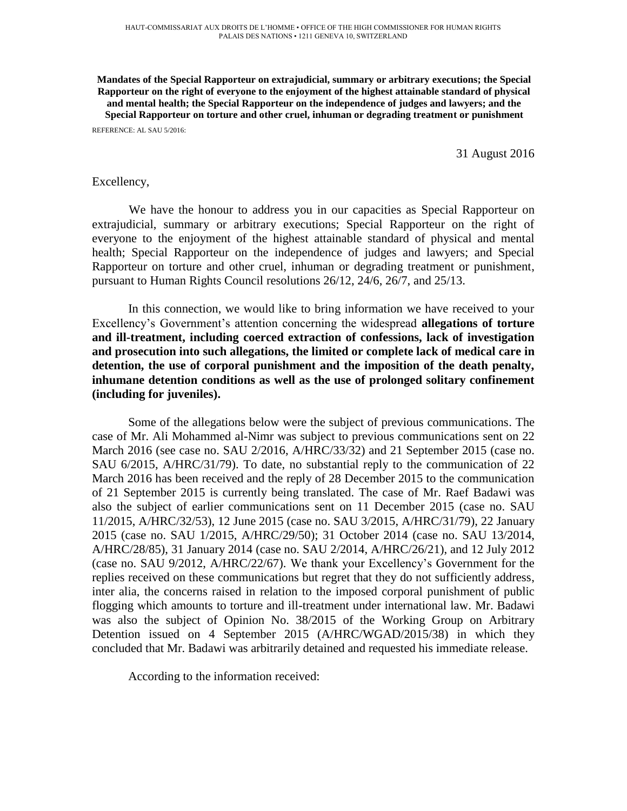**Mandates of the Special Rapporteur on extrajudicial, summary or arbitrary executions; the Special Rapporteur on the right of everyone to the enjoyment of the highest attainable standard of physical and mental health; the Special Rapporteur on the independence of judges and lawyers; and the Special Rapporteur on torture and other cruel, inhuman or degrading treatment or punishment** REFERENCE: AL SAU 5/2016:

31 August 2016

#### Excellency,

We have the honour to address you in our capacities as Special Rapporteur on extrajudicial, summary or arbitrary executions; Special Rapporteur on the right of everyone to the enjoyment of the highest attainable standard of physical and mental health; Special Rapporteur on the independence of judges and lawyers; and Special Rapporteur on torture and other cruel, inhuman or degrading treatment or punishment, pursuant to Human Rights Council resolutions 26/12, 24/6, 26/7, and 25/13.

In this connection, we would like to bring information we have received to your Excellency's Government's attention concerning the widespread **allegations of torture and ill-treatment, including coerced extraction of confessions, lack of investigation and prosecution into such allegations, the limited or complete lack of medical care in detention, the use of corporal punishment and the imposition of the death penalty, inhumane detention conditions as well as the use of prolonged solitary confinement (including for juveniles).** 

Some of the allegations below were the subject of previous communications. The case of Mr. Ali Mohammed al-Nimr was subject to previous communications sent on 22 March 2016 (see case no. SAU 2/2016, A/HRC/33/32) and 21 September 2015 (case no. SAU 6/2015, A/HRC/31/79). To date, no substantial reply to the communication of 22 March 2016 has been received and the reply of 28 December 2015 to the communication of 21 September 2015 is currently being translated. The case of Mr. Raef Badawi was also the subject of earlier communications sent on 11 December 2015 (case no. SAU 11/2015, A/HRC/32/53), 12 June 2015 (case no. SAU 3/2015, A/HRC/31/79), 22 January 2015 (case no. SAU 1/2015, A/HRC/29/50); 31 October 2014 (case no. SAU 13/2014, A/HRC/28/85), 31 January 2014 (case no. SAU 2/2014, A/HRC/26/21), and 12 July 2012 (case no. SAU 9/2012, A/HRC/22/67). We thank your Excellency's Government for the replies received on these communications but regret that they do not sufficiently address, inter alia, the concerns raised in relation to the imposed corporal punishment of public flogging which amounts to torture and ill-treatment under international law. Mr. Badawi was also the subject of Opinion No. 38/2015 of the Working Group on Arbitrary Detention issued on 4 September 2015 (A/HRC/WGAD/2015/38) in which they concluded that Mr. Badawi was arbitrarily detained and requested his immediate release.

According to the information received: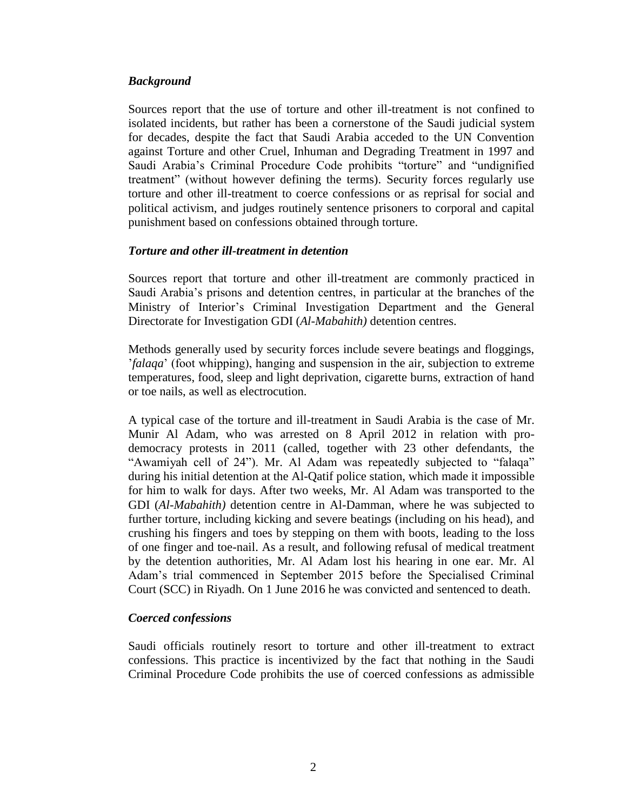## *Background*

Sources report that the use of torture and other ill-treatment is not confined to isolated incidents, but rather has been a cornerstone of the Saudi judicial system for decades, despite the fact that Saudi Arabia acceded to the UN Convention against Torture and other Cruel, Inhuman and Degrading Treatment in 1997 and Saudi Arabia's Criminal Procedure Code prohibits "torture" and "undignified treatment" (without however defining the terms). Security forces regularly use torture and other ill-treatment to coerce confessions or as reprisal for social and political activism, and judges routinely sentence prisoners to corporal and capital punishment based on confessions obtained through torture.

## *Torture and other ill-treatment in detention*

Sources report that torture and other ill-treatment are commonly practiced in Saudi Arabia's prisons and detention centres, in particular at the branches of the Ministry of Interior's Criminal Investigation Department and the General Directorate for Investigation GDI (*Al-Mabahith)* detention centres.

Methods generally used by security forces include severe beatings and floggings, '*falaqa*' (foot whipping), hanging and suspension in the air, subjection to extreme temperatures, food, sleep and light deprivation, cigarette burns, extraction of hand or toe nails, as well as electrocution.

A typical case of the torture and ill-treatment in Saudi Arabia is the case of Mr. Munir Al Adam, who was arrested on 8 April 2012 in relation with prodemocracy protests in 2011 (called, together with 23 other defendants, the "Awamiyah cell of 24"). Mr. Al Adam was repeatedly subjected to "falaqa" during his initial detention at the Al-Qatif police station, which made it impossible for him to walk for days. After two weeks, Mr. Al Adam was transported to the GDI (*Al-Mabahith)* detention centre in Al-Damman, where he was subjected to further torture, including kicking and severe beatings (including on his head), and crushing his fingers and toes by stepping on them with boots, leading to the loss of one finger and toe-nail. As a result, and following refusal of medical treatment by the detention authorities, Mr. Al Adam lost his hearing in one ear. Mr. Al Adam's trial commenced in September 2015 before the Specialised Criminal Court (SCC) in Riyadh. On 1 June 2016 he was convicted and sentenced to death.

#### *Coerced confessions*

Saudi officials routinely resort to torture and other ill-treatment to extract confessions. This practice is incentivized by the fact that nothing in the Saudi Criminal Procedure Code prohibits the use of coerced confessions as admissible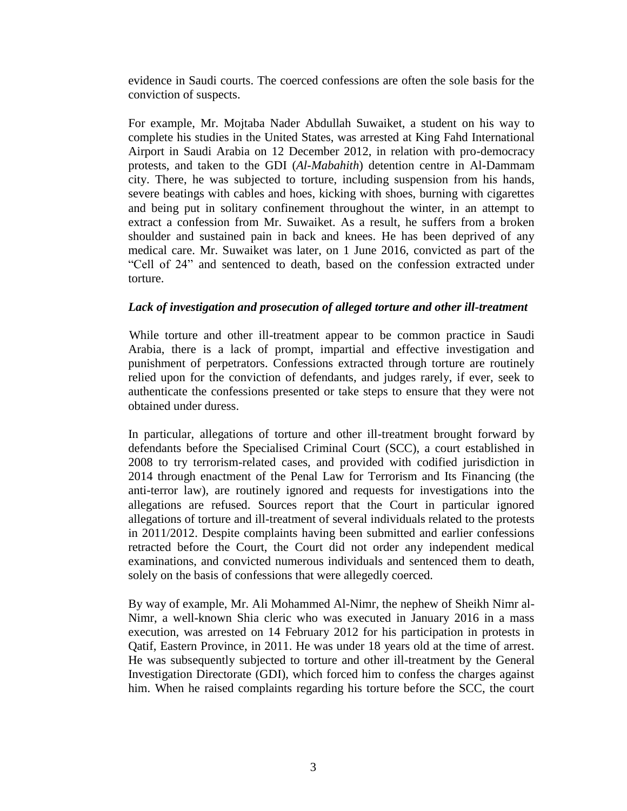evidence in Saudi courts. The coerced confessions are often the sole basis for the conviction of suspects.

For example, Mr. Mojtaba Nader Abdullah Suwaiket, a student on his way to complete his studies in the United States, was arrested at King Fahd International Airport in Saudi Arabia on 12 December 2012, in relation with pro-democracy protests, and taken to the GDI (*Al-Mabahith*) detention centre in Al-Dammam city. There, he was subjected to torture, including suspension from his hands, severe beatings with cables and hoes, kicking with shoes, burning with cigarettes and being put in solitary confinement throughout the winter, in an attempt to extract a confession from Mr. Suwaiket. As a result, he suffers from a broken shoulder and sustained pain in back and knees. He has been deprived of any medical care. Mr. Suwaiket was later, on 1 June 2016, convicted as part of the "Cell of 24" and sentenced to death, based on the confession extracted under torture.

# *Lack of investigation and prosecution of alleged torture and other ill-treatment*

While torture and other ill-treatment appear to be common practice in Saudi Arabia, there is a lack of prompt, impartial and effective investigation and punishment of perpetrators. Confessions extracted through torture are routinely relied upon for the conviction of defendants, and judges rarely, if ever, seek to authenticate the confessions presented or take steps to ensure that they were not obtained under duress.

In particular, allegations of torture and other ill-treatment brought forward by defendants before the Specialised Criminal Court (SCC), a court established in 2008 to try terrorism-related cases, and provided with codified jurisdiction in 2014 through enactment of the Penal Law for Terrorism and Its Financing (the anti-terror law), are routinely ignored and requests for investigations into the allegations are refused. Sources report that the Court in particular ignored allegations of torture and ill-treatment of several individuals related to the protests in 2011/2012. Despite complaints having been submitted and earlier confessions retracted before the Court, the Court did not order any independent medical examinations, and convicted numerous individuals and sentenced them to death, solely on the basis of confessions that were allegedly coerced.

By way of example, Mr. Ali Mohammed Al-Nimr, the nephew of Sheikh Nimr al-Nimr, a well-known Shia cleric who was executed in January 2016 in a mass execution, was arrested on 14 February 2012 for his participation in protests in Qatif, Eastern Province, in 2011. He was under 18 years old at the time of arrest. He was subsequently subjected to torture and other ill-treatment by the General Investigation Directorate (GDI), which forced him to confess the charges against him. When he raised complaints regarding his torture before the SCC, the court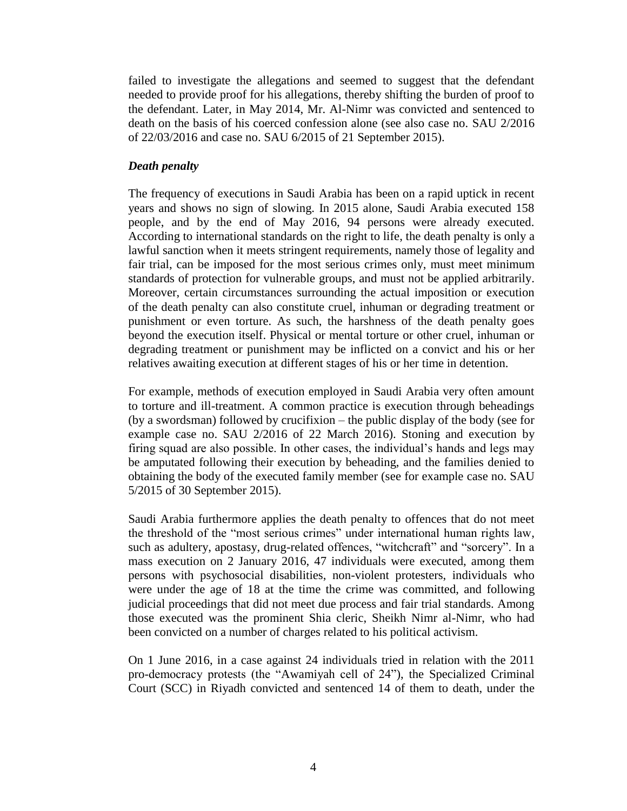failed to investigate the allegations and seemed to suggest that the defendant needed to provide proof for his allegations, thereby shifting the burden of proof to the defendant. Later, in May 2014, Mr. Al-Nimr was convicted and sentenced to death on the basis of his coerced confession alone (see also case no. SAU 2/2016 of 22/03/2016 and case no. SAU 6/2015 of 21 September 2015).

## *Death penalty*

The frequency of executions in Saudi Arabia has been on a rapid uptick in recent years and shows no sign of slowing. In 2015 alone, Saudi Arabia executed 158 people, and by the end of May 2016, 94 persons were already executed. According to international standards on the right to life, the death penalty is only a lawful sanction when it meets stringent requirements, namely those of legality and fair trial, can be imposed for the most serious crimes only, must meet minimum standards of protection for vulnerable groups, and must not be applied arbitrarily. Moreover, certain circumstances surrounding the actual imposition or execution of the death penalty can also constitute cruel, inhuman or degrading treatment or punishment or even torture. As such, the harshness of the death penalty goes beyond the execution itself. Physical or mental torture or other cruel, inhuman or degrading treatment or punishment may be inflicted on a convict and his or her relatives awaiting execution at different stages of his or her time in detention.

For example, methods of execution employed in Saudi Arabia very often amount to torture and ill-treatment. A common practice is execution through beheadings (by a swordsman) followed by crucifixion – the public display of the body (see for example case no. SAU 2/2016 of 22 March 2016). Stoning and execution by firing squad are also possible. In other cases, the individual's hands and legs may be amputated following their execution by beheading, and the families denied to obtaining the body of the executed family member (see for example case no. SAU 5/2015 of 30 September 2015).

Saudi Arabia furthermore applies the death penalty to offences that do not meet the threshold of the "most serious crimes" under international human rights law, such as adultery, apostasy, drug-related offences, "witchcraft" and "sorcery". In a mass execution on 2 January 2016, 47 individuals were executed, among them persons with psychosocial disabilities, non-violent protesters, individuals who were under the age of 18 at the time the crime was committed, and following judicial proceedings that did not meet due process and fair trial standards. Among those executed was the prominent Shia cleric, Sheikh Nimr al-Nimr, who had been convicted on a number of charges related to his political activism.

On 1 June 2016, in a case against 24 individuals tried in relation with the 2011 pro-democracy protests (the "Awamiyah cell of 24"), the Specialized Criminal Court (SCC) in Riyadh convicted and sentenced 14 of them to death, under the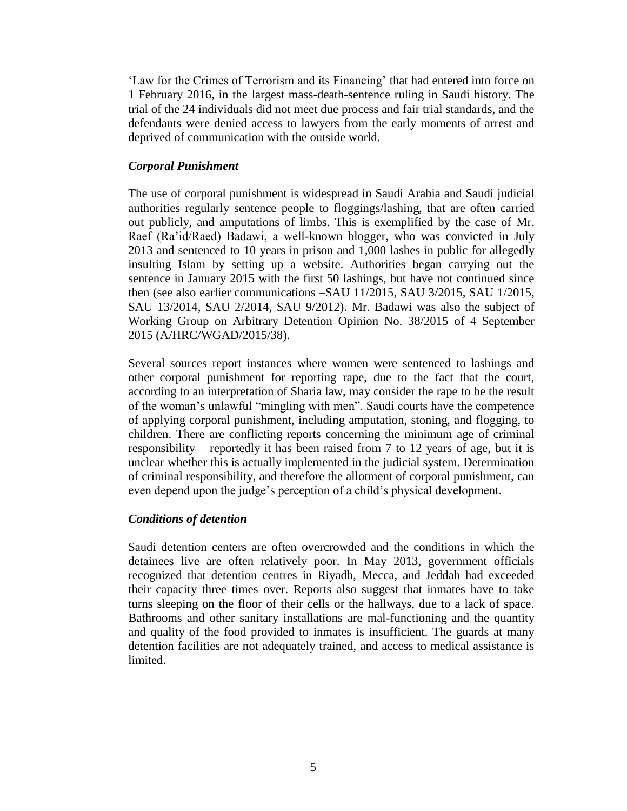'Law for the Crimes of Terrorism and its Financing' that had entered into force on 1 February 2016, in the largest mass-death-sentence ruling in Saudi history. The trial of the 24 individuals did not meet due process and fair trial standards, and the defendants were denied access to lawyers from the early moments of arrest and deprived of communication with the outside world.

# *Corporal Punishment*

The use of corporal punishment is widespread in Saudi Arabia and Saudi judicial authorities regularly sentence people to floggings/lashing, that are often carried out publicly, and amputations of limbs. This is exemplified by the case of Mr. Raef (Ra'id/Raed) Badawi, a well-known blogger, who was convicted in July 2013 and sentenced to 10 years in prison and 1,000 lashes in public for allegedly insulting Islam by setting up a website. Authorities began carrying out the sentence in January 2015 with the first 50 lashings, but have not continued since then (see also earlier communications –SAU 11/2015, SAU 3/2015, SAU 1/2015, SAU 13/2014, SAU 2/2014, SAU 9/2012). Mr. Badawi was also the subject of Working Group on Arbitrary Detention Opinion No. 38/2015 of 4 September 2015 (A/HRC/WGAD/2015/38).

Several sources report instances where women were sentenced to lashings and other corporal punishment for reporting rape, due to the fact that the court, according to an interpretation of Sharia law, may consider the rape to be the result of the woman's unlawful "mingling with men". Saudi courts have the competence of applying corporal punishment, including amputation, stoning, and flogging, to children. There are conflicting reports concerning the minimum age of criminal responsibility – reportedly it has been raised from 7 to 12 years of age, but it is unclear whether this is actually implemented in the judicial system. Determination of criminal responsibility, and therefore the allotment of corporal punishment, can even depend upon the judge's perception of a child's physical development.

## *Conditions of detention*

Saudi detention centers are often overcrowded and the conditions in which the detainees live are often relatively poor. In May 2013, government officials recognized that detention centres in Riyadh, Mecca, and Jeddah had exceeded their capacity three times over. Reports also suggest that inmates have to take turns sleeping on the floor of their cells or the hallways, due to a lack of space. Bathrooms and other sanitary installations are mal-functioning and the quantity and quality of the food provided to inmates is insufficient. The guards at many detention facilities are not adequately trained, and access to medical assistance is limited.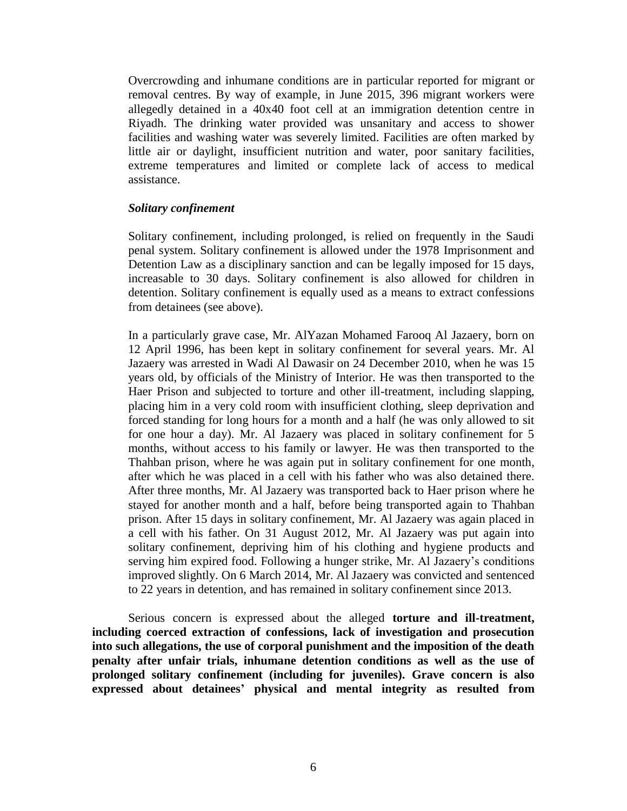Overcrowding and inhumane conditions are in particular reported for migrant or removal centres. By way of example, in June 2015, 396 migrant workers were allegedly detained in a 40x40 foot cell at an immigration detention centre in Riyadh. The drinking water provided was unsanitary and access to shower facilities and washing water was severely limited. Facilities are often marked by little air or daylight, insufficient nutrition and water, poor sanitary facilities, extreme temperatures and limited or complete lack of access to medical assistance.

#### *Solitary confinement*

Solitary confinement, including prolonged, is relied on frequently in the Saudi penal system. Solitary confinement is allowed under the 1978 Imprisonment and Detention Law as a disciplinary sanction and can be legally imposed for 15 days, increasable to 30 days. Solitary confinement is also allowed for children in detention. Solitary confinement is equally used as a means to extract confessions from detainees (see above).

In a particularly grave case, Mr. AlYazan Mohamed Farooq Al Jazaery, born on 12 April 1996, has been kept in solitary confinement for several years. Mr. Al Jazaery was arrested in Wadi Al Dawasir on 24 December 2010, when he was 15 years old, by officials of the Ministry of Interior. He was then transported to the Haer Prison and subjected to torture and other ill-treatment, including slapping, placing him in a very cold room with insufficient clothing, sleep deprivation and forced standing for long hours for a month and a half (he was only allowed to sit for one hour a day). Mr. Al Jazaery was placed in solitary confinement for 5 months, without access to his family or lawyer. He was then transported to the Thahban prison, where he was again put in solitary confinement for one month, after which he was placed in a cell with his father who was also detained there. After three months, Mr. Al Jazaery was transported back to Haer prison where he stayed for another month and a half, before being transported again to Thahban prison. After 15 days in solitary confinement, Mr. Al Jazaery was again placed in a cell with his father. On 31 August 2012, Mr. Al Jazaery was put again into solitary confinement, depriving him of his clothing and hygiene products and serving him expired food. Following a hunger strike, Mr. Al Jazaery's conditions improved slightly. On 6 March 2014, Mr. Al Jazaery was convicted and sentenced to 22 years in detention, and has remained in solitary confinement since 2013.

Serious concern is expressed about the alleged **torture and ill-treatment, including coerced extraction of confessions, lack of investigation and prosecution into such allegations, the use of corporal punishment and the imposition of the death penalty after unfair trials, inhumane detention conditions as well as the use of prolonged solitary confinement (including for juveniles). Grave concern is also expressed about detainees' physical and mental integrity as resulted from**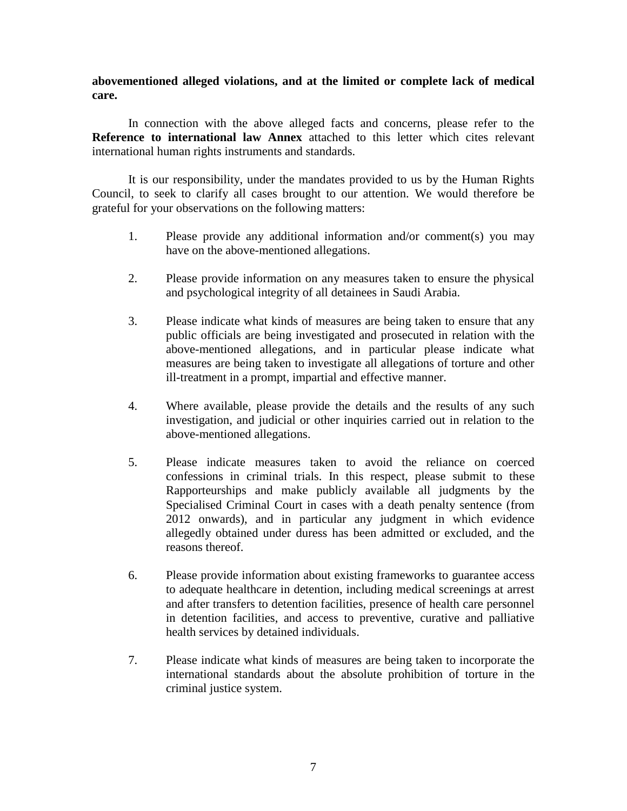## **abovementioned alleged violations, and at the limited or complete lack of medical care.**

In connection with the above alleged facts and concerns, please refer to the **Reference to international law Annex** attached to this letter which cites relevant international human rights instruments and standards.

It is our responsibility, under the mandates provided to us by the Human Rights Council, to seek to clarify all cases brought to our attention. We would therefore be grateful for your observations on the following matters:

- 1. Please provide any additional information and/or comment(s) you may have on the above-mentioned allegations.
- 2. Please provide information on any measures taken to ensure the physical and psychological integrity of all detainees in Saudi Arabia.
- 3. Please indicate what kinds of measures are being taken to ensure that any public officials are being investigated and prosecuted in relation with the above-mentioned allegations, and in particular please indicate what measures are being taken to investigate all allegations of torture and other ill-treatment in a prompt, impartial and effective manner.
- 4. Where available, please provide the details and the results of any such investigation, and judicial or other inquiries carried out in relation to the above-mentioned allegations.
- 5. Please indicate measures taken to avoid the reliance on coerced confessions in criminal trials. In this respect, please submit to these Rapporteurships and make publicly available all judgments by the Specialised Criminal Court in cases with a death penalty sentence (from 2012 onwards), and in particular any judgment in which evidence allegedly obtained under duress has been admitted or excluded, and the reasons thereof.
- 6. Please provide information about existing frameworks to guarantee access to adequate healthcare in detention, including medical screenings at arrest and after transfers to detention facilities, presence of health care personnel in detention facilities, and access to preventive, curative and palliative health services by detained individuals.
- 7. Please indicate what kinds of measures are being taken to incorporate the international standards about the absolute prohibition of torture in the criminal justice system.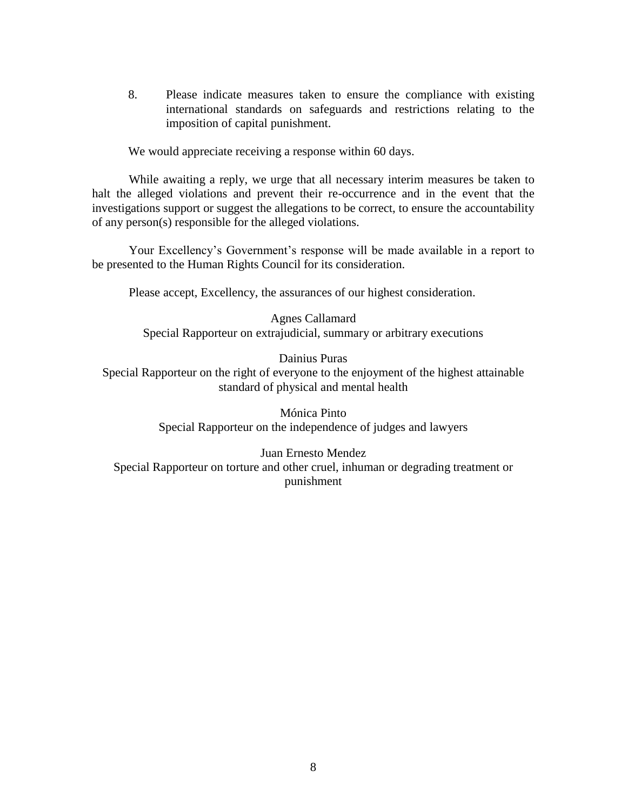8. Please indicate measures taken to ensure the compliance with existing international standards on safeguards and restrictions relating to the imposition of capital punishment.

We would appreciate receiving a response within 60 days.

While awaiting a reply, we urge that all necessary interim measures be taken to halt the alleged violations and prevent their re-occurrence and in the event that the investigations support or suggest the allegations to be correct, to ensure the accountability of any person(s) responsible for the alleged violations.

Your Excellency's Government's response will be made available in a report to be presented to the Human Rights Council for its consideration.

Please accept, Excellency, the assurances of our highest consideration.

Agnes Callamard Special Rapporteur on extrajudicial, summary or arbitrary executions

Dainius Puras

Special Rapporteur on the right of everyone to the enjoyment of the highest attainable standard of physical and mental health

> Mónica Pinto Special Rapporteur on the independence of judges and lawyers

Juan Ernesto Mendez Special Rapporteur on torture and other cruel, inhuman or degrading treatment or punishment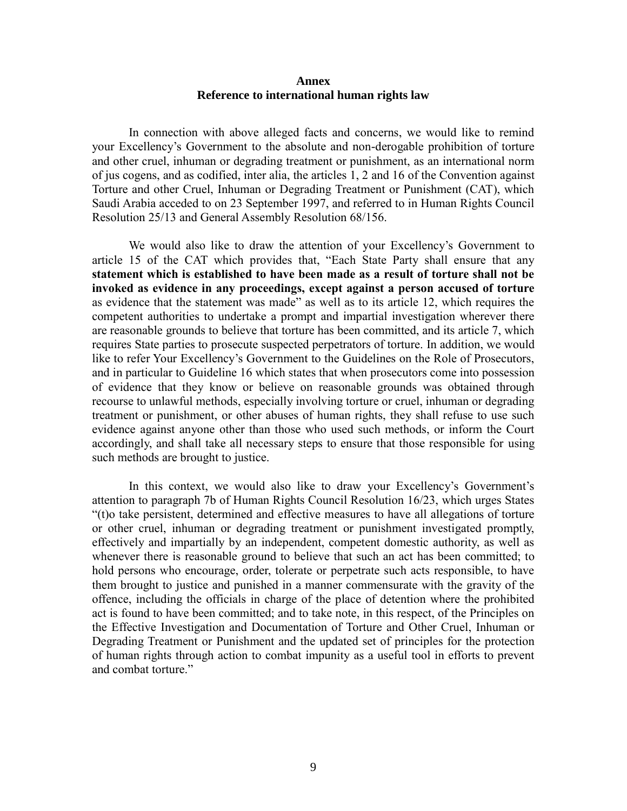#### **Annex Reference to international human rights law**

In connection with above alleged facts and concerns, we would like to remind your Excellency's Government to the absolute and non-derogable prohibition of torture and other cruel, inhuman or degrading treatment or punishment, as an international norm of jus cogens, and as codified, inter alia, the articles 1, 2 and 16 of the Convention against Torture and other Cruel, Inhuman or Degrading Treatment or Punishment (CAT), which Saudi Arabia acceded to on 23 September 1997, and referred to in Human Rights Council Resolution 25/13 and General Assembly Resolution 68/156.

We would also like to draw the attention of your Excellency's Government to article 15 of the CAT which provides that, "Each State Party shall ensure that any **statement which is established to have been made as a result of torture shall not be invoked as evidence in any proceedings, except against a person accused of torture** as evidence that the statement was made" as well as to its article 12, which requires the competent authorities to undertake a prompt and impartial investigation wherever there are reasonable grounds to believe that torture has been committed, and its article 7, which requires State parties to prosecute suspected perpetrators of torture. In addition, we would like to refer Your Excellency's Government to the Guidelines on the Role of Prosecutors, and in particular to Guideline 16 which states that when prosecutors come into possession of evidence that they know or believe on reasonable grounds was obtained through recourse to unlawful methods, especially involving torture or cruel, inhuman or degrading treatment or punishment, or other abuses of human rights, they shall refuse to use such evidence against anyone other than those who used such methods, or inform the Court accordingly, and shall take all necessary steps to ensure that those responsible for using such methods are brought to justice.

In this context, we would also like to draw your Excellency's Government's attention to paragraph 7b of Human Rights Council Resolution 16/23, which urges States "(t)o take persistent, determined and effective measures to have all allegations of torture or other cruel, inhuman or degrading treatment or punishment investigated promptly, effectively and impartially by an independent, competent domestic authority, as well as whenever there is reasonable ground to believe that such an act has been committed; to hold persons who encourage, order, tolerate or perpetrate such acts responsible, to have them brought to justice and punished in a manner commensurate with the gravity of the offence, including the officials in charge of the place of detention where the prohibited act is found to have been committed; and to take note, in this respect, of the Principles on the Effective Investigation and Documentation of Torture and Other Cruel, Inhuman or Degrading Treatment or Punishment and the updated set of principles for the protection of human rights through action to combat impunity as a useful tool in efforts to prevent and combat torture."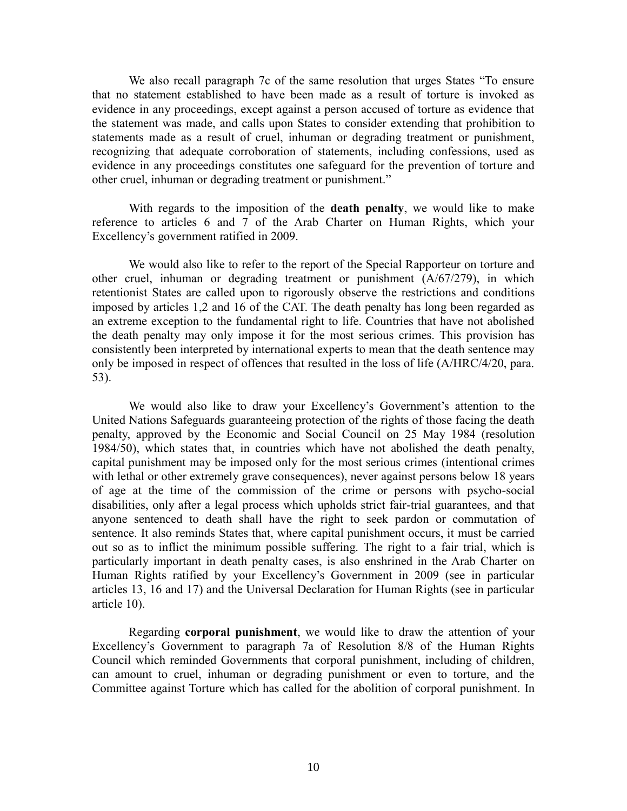We also recall paragraph 7c of the same resolution that urges States "To ensure that no statement established to have been made as a result of torture is invoked as evidence in any proceedings, except against a person accused of torture as evidence that the statement was made, and calls upon States to consider extending that prohibition to statements made as a result of cruel, inhuman or degrading treatment or punishment, recognizing that adequate corroboration of statements, including confessions, used as evidence in any proceedings constitutes one safeguard for the prevention of torture and other cruel, inhuman or degrading treatment or punishment."

With regards to the imposition of the **death penalty**, we would like to make reference to articles 6 and 7 of the Arab Charter on Human Rights, which your Excellency's government ratified in 2009.

We would also like to refer to the report of the Special Rapporteur on torture and other cruel, inhuman or degrading treatment or punishment (A/67/279), in which retentionist States are called upon to rigorously observe the restrictions and conditions imposed by articles 1,2 and 16 of the CAT. The death penalty has long been regarded as an extreme exception to the fundamental right to life. Countries that have not abolished the death penalty may only impose it for the most serious crimes. This provision has consistently been interpreted by international experts to mean that the death sentence may only be imposed in respect of offences that resulted in the loss of life (A/HRC/4/20, para. 53).

We would also like to draw your Excellency's Government's attention to the United Nations Safeguards guaranteeing protection of the rights of those facing the death penalty, approved by the Economic and Social Council on 25 May 1984 (resolution 1984/50), which states that, in countries which have not abolished the death penalty, capital punishment may be imposed only for the most serious crimes (intentional crimes with lethal or other extremely grave consequences), never against persons below 18 years of age at the time of the commission of the crime or persons with psycho-social disabilities, only after a legal process which upholds strict fair-trial guarantees, and that anyone sentenced to death shall have the right to seek pardon or commutation of sentence. It also reminds States that, where capital punishment occurs, it must be carried out so as to inflict the minimum possible suffering. The right to a fair trial, which is particularly important in death penalty cases, is also enshrined in the Arab Charter on Human Rights ratified by your Excellency's Government in 2009 (see in particular articles 13, 16 and 17) and the Universal Declaration for Human Rights (see in particular article 10).

Regarding **corporal punishment**, we would like to draw the attention of your Excellency's Government to paragraph 7a of Resolution 8/8 of the Human Rights Council which reminded Governments that corporal punishment, including of children, can amount to cruel, inhuman or degrading punishment or even to torture, and the Committee against Torture which has called for the abolition of corporal punishment. In